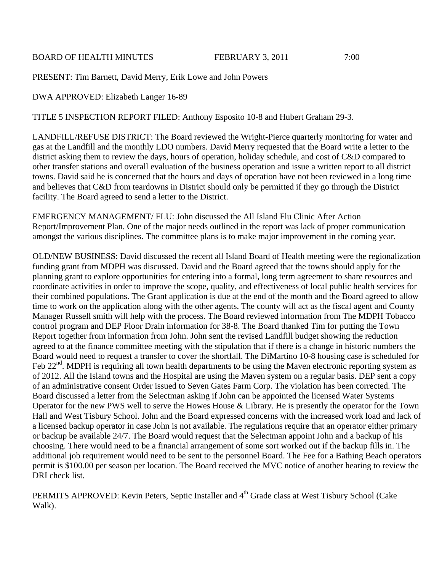BOARD OF HEALTH MINUTES FEBRUARY 3, 2011 7:00

PRESENT: Tim Barnett, David Merry, Erik Lowe and John Powers

DWA APPROVED: Elizabeth Langer 16-89

TITLE 5 INSPECTION REPORT FILED: Anthony Esposito 10-8 and Hubert Graham 29-3.

LANDFILL/REFUSE DISTRICT: The Board reviewed the Wright-Pierce quarterly monitoring for water and gas at the Landfill and the monthly LDO numbers. David Merry requested that the Board write a letter to the district asking them to review the days, hours of operation, holiday schedule, and cost of C&D compared to other transfer stations and overall evaluation of the business operation and issue a written report to all district towns. David said he is concerned that the hours and days of operation have not been reviewed in a long time and believes that C&D from teardowns in District should only be permitted if they go through the District facility. The Board agreed to send a letter to the District.

EMERGENCY MANAGEMENT/ FLU: John discussed the All Island Flu Clinic After Action Report/Improvement Plan. One of the major needs outlined in the report was lack of proper communication amongst the various disciplines. The committee plans is to make major improvement in the coming year.

OLD/NEW BUSINESS: David discussed the recent all Island Board of Health meeting were the regionalization funding grant from MDPH was discussed. David and the Board agreed that the towns should apply for the planning grant to explore opportunities for entering into a formal, long term agreement to share resources and coordinate activities in order to improve the scope, quality, and effectiveness of local public health services for their combined populations. The Grant application is due at the end of the month and the Board agreed to allow time to work on the application along with the other agents. The county will act as the fiscal agent and County Manager Russell smith will help with the process. The Board reviewed information from The MDPH Tobacco control program and DEP Floor Drain information for 38-8. The Board thanked Tim for putting the Town Report together from information from John. John sent the revised Landfill budget showing the reduction agreed to at the finance committee meeting with the stipulation that if there is a change in historic numbers the Board would need to request a transfer to cover the shortfall. The DiMartino 10-8 housing case is scheduled for Feb  $22<sup>nd</sup>$ . MDPH is requiring all town health departments to be using the Maven electronic reporting system as of 2012. All the Island towns and the Hospital are using the Maven system on a regular basis. DEP sent a copy of an administrative consent Order issued to Seven Gates Farm Corp. The violation has been corrected. The Board discussed a letter from the Selectman asking if John can be appointed the licensed Water Systems Operator for the new PWS well to serve the Howes House & Library. He is presently the operator for the Town Hall and West Tisbury School. John and the Board expressed concerns with the increased work load and lack of a licensed backup operator in case John is not available. The regulations require that an operator either primary or backup be available 24/7. The Board would request that the Selectman appoint John and a backup of his choosing. There would need to be a financial arrangement of some sort worked out if the backup fills in. The additional job requirement would need to be sent to the personnel Board. The Fee for a Bathing Beach operators permit is \$100.00 per season per location. The Board received the MVC notice of another hearing to review the DRI check list.

PERMITS APPROVED: Kevin Peters, Septic Installer and 4<sup>th</sup> Grade class at West Tisbury School (Cake Walk).